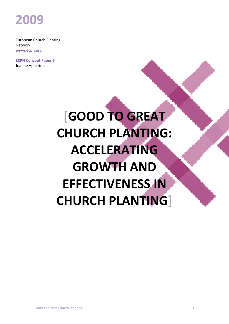## ECPN Concept Paper **2009**

European Church Planting Network **www.ecpn.org**

**ECPN Concept Paper 6** Joanne Appleton

# **[GOOD TO GREAT CHURCH PLANTING: ACCELERATING GROWTH AND EFFECTIVENESS IN CHURCH PLANTING]**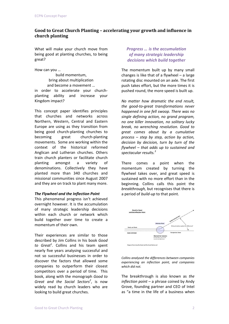## **Good to Great Church Planting – accelerating your growth and influence in church planting**

What will make your church move from being good at planting churches, to being great?

How can you …

build momentum, bring about multiplication and become a movement … in order to accelerate your churchplanting ability and increase your Kingdom impact?

This concept paper identifies principles that churches and networks across Northern, Western, Central and Eastern Europe are using as they transition from being good church-planting churches to becoming great church-planting movements. Some are working within the context of the historical reformed Anglican and Lutheran churches. Others train church planters or facilitate church planting amongst a variety of denominations. Collectively they have planted more than 340 churches and missional communities since August 2007 and they are on track to plant many more.

#### *The Flywheel and the Inflection Point*

This phenomenal progress isn't achieved overnight however. It is the accumulation of many strategic leadership decisions within each church or network which build together over time to create a momentum of their own.

Their experiences are similar to those described by Jim Collins in his book *Good to Great*<sup>1</sup> *.* Collins and his team spent nearly five years analysing successful and not so successful businesses in order to discover the factors that allowed some companies to outperform their closest competitors over a period of time. This book, along with the monograph *Good to Great and the Social Sectors<sup>2</sup>* , is now widely read by church leaders who are looking to build great churches.

## *Progress … is the accumulation of many strategic leadership decisions which build together*

The momentum built up by many small changes is like that of a flywheel – a large rotating disc mounted on an axle. The first push takes effort, but the more times it is pushed round, the more speed is built up.

*No matter how dramatic the end result, the goodͲtoͲgreat transformations never happened in one fell swoop. There was no single defining action, no grand program, no one killer innovation, no solitary lucky break, no wrenching revolution. Good to great comes about by a cumulative process – step by step, action by action, decision by decision, turn by turn of the flywheel – that adds up to sustained and spectacular results.<sup>3</sup>*

There comes a point when the momentum created by turning the flywheel takes over, and great speed is sustained with no more effort than in the beginning. Collins calls this point the *breakthrough,* but recognises that there is a period of *build-up* to that point.



*Collins analysed the differences between companies experiencing an inflection point, and companies which did not.*

The breakthrough is also known as *the inflection point* – a phrase coined by Andy Grove, founding partner and CEO of Intel as "a time in the life of a business when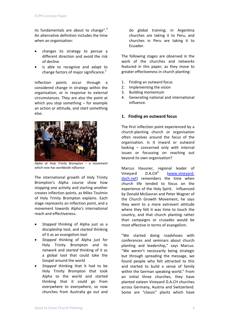its fundamentals are about to change". $4$ An alternative definition includes the time when an organisation:

- x changes its strategy to persue a different direction and avoid the risk of decline
- is able to recognise and adapt to change factors of major significance.<sup>5</sup>

Inflection points occur through a considered change in strategy within the organisation, or in response to external circumstances. They are also the point at which you *stop* something – for example an action or attitude, and *start* something else.



*Alpha at Holy Trinity Brompton – a movement which now has worldwide influence*

The international growth of Holy Trinity Brompton's Alpha course show how stopping one activity and starting another creates inflection points, as Miles Toulmin of Holy Trinity Brompton explains. Each stage represents an inflection point, and a movement towards Alpha's international reach and effectiveness.

- x *Stopped* thinking of Alpha just as a discipleship tool, and *started* thinking of it as an evangelism tool
- *Stopped* thinking of Alpha just for Holy Trinity Brompton and its network and *started* thinking of it as a global tool that could take the Gospel around the world
- Stopped thinking that it had to be Holy Trinity Brompton that took Alpha to the world and *started* thinking that it could go from everywhere to everywhere, so now churches from Australia go out and

do global training; in Argentina churches are taking it to Peru, and churches in Peru are taking it to Ecuador.

The following stages are observed in the work of the churches and networks featured in this paper, as they move to greater effectiveness in church planting:

- 1. Finding an outward focus
- 2. Implementing the vision
- 3. Building momentum
- 4. Generating national and international influence.

## **1. Finding an outward focus**

The first inflection point experienced by a church-planting church or organisation often revolves around the focus of the organisation. Is it inward or outward looking – concerned only with internal issues or focussing on reaching out beyond its own organisation?

Marcus Hausner, regional leader of Vineyard D.A.CH<sup>6</sup> (www.vineyarddach.net) remembers the time when church life tended to focus on the experience of the Holy Spirit. Influenced by Donald McGavran and Peter Wagner of the Church Growth Movement, he says they went to a more extrovert attitude where they felt it was time to touch the country, and that church planting rather than campaigns or crusades would be most effective in terms of evangelism.

"We started doing roadshows with conferences and seminars about church planting and leadership," says Marcus. "We weren't necessarily being strategic but through spreading the message, we found people who felt attracted to this and started to build a sense of family within the German speaking world." From an initial three churches, they have planted sixteen Vineyard D.A.CH churches across Germany, Austria and Switzerland. Some are "classic" plants which have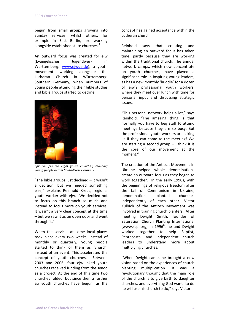begun from small groups growing into Sunday services, whilst others, for example in East Berlin, are working alongside established state churches.<sup>7</sup>

An outward focus was created for ejw (Evangelisches Jugendwerk in Württemberg: www.ejwue.de), a youth movement working alongside the Lutheran Church in Württemberg, Southern Germany, when numbers of young people attending their bible studies and bible groups started to decline.



 *Ejw has planted eight youth churches, reaching young people across SouthͲWest Germany*

"The bible groups just declined – it wasn't a decision, but we needed something else," explains Reinhold Krebs, regional youth worker with ejw. "We decided not to focus on this branch so much and instead to focus more on youth services. It wasn't a very clear concept at the time – but we saw it as an open door and went through it."

When the services at some local places took place every two weeks, instead of monthly or quarterly, young people started to think of them as 'church' instead of an event. This accelerated the concept of youth churches. Between 2003 and 2006, four ejw-linked youth churches received funding from the synod as a project. At the end of this time two churches folded, but since then a further six youth churches have begun, as the

concept has gained acceptance within the Lutheran church.

Reinhold says that creating and maintaining an outward focus has taken time, partly because they are working within the traditional church. The annual network camps, which now concentrate on youth churches, have played a significant role in inspiring young leaders, as has a new monthly 'huddle' for a dozen of ejw´s professional youth workers, where they meet over lunch with time for personal input and discussing strategic issues.

"This personal network helps a lot," says Reinhold. "The amazing thing is that normally you have to beg staff to attend meetings because they are so busy. But the professional youth workers are asking us if they can come to the meeting! We are starting a second group  $-1$  think it is the core of our movement at the moment."

The creation of the Antioch Movement in Ukraine helped whole denominations create an outward focus as they began to work together. In the early 1990s, with the beginnings of religious freedom after the fall of Communism in Ukraine, denominations planted churches independently of each other. Victor Kulbich of the Antioch Movement was involved in training church planters. After meeting Dwight Smith, founder of Saturation Church Planting International (www.scpi.org) in  $1996^8$ , he and Dwight worked together to help Baptist, Pentecostal and independent church leaders to understand more about multiplying churches.

"When Dwight came, he brought a new vision based on the experiences of church planting multiplication. It was a revolutionary thought that the main role of the church is to give birth to daughter churches, and everything God wants to do he will use his church to do," says Victor.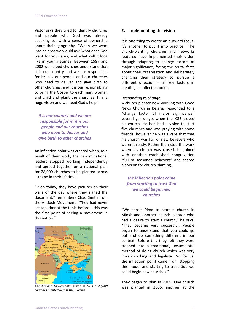Victor says they tried to identify churches and people who God was already speaking to, with a sense of ownership about their geography. "When we went into an area we would ask 'what does God want for your area, and what will it look like in your lifetime?' Between 1997 and 2002 we helped churches understand that it is our country and we are responsible for it; it is our people and our churches who need to deliver and give birth to other churches, and it is our responsibility to bring the Gospel to each man, woman and child and plant the churches. It is a huge vision and we need God's help."

*it is our country and we are responsible for it; it is our people and our churches who need to deliver and give birth to other churches*

An inflection point was created when, as a result of their work, the denominational leaders stopped working independently and agreed together on a national plan for 28,000 churches to be planted across Ukraine in their lifetime.

"Even today, they have pictures on their walls of the day where they signed the document," remembers Chad Smith from the Antioch Movement. "They had never sat together at the table before – this was the first point of seeing a movement in this nation."



*The Antioch Movement's vision is to see 28,000 churches planted across the Ukraine*

## **2. Implementing the vision**

It is one thing to create an outward focus; it's another to put it into practice. The church-planting churches and networks featured have implemented their vision through adapting to change factors of major significance, facing the brutal facts about their organisation and deliberately changing their strategy to pursue a different direction – all key factors in creating an inflection point.

#### *Responding to change*

A church planter now working with Good News Church in Belarus responded to a "change factor of major significance" several years ago, when the KGB closed his church. He had had a vision to start five churches and was praying with some friends, however he was aware that that his church was full of new believers who weren't ready. Rather than stop the work when his church was closed, he joined with another established congregation "full of seasoned believers" and shared his vision for church planting.

*the inflection point came from starting to trust God we could begin new churches*

"We chose Dima to start a church in Minsk and another church planter who had a desire to start a church," he says. "They became very successful. People began to understand that you could go out and do something different in our context. Before this they felt they were trapped into a traditional, unsuccessful method of doing church which was very inward-looking and legalistic. So for us, the inflection point came from stopping this model and starting to trust God we could begin new churches."

They began to plan in 2005. One church was planted in 2006, another at the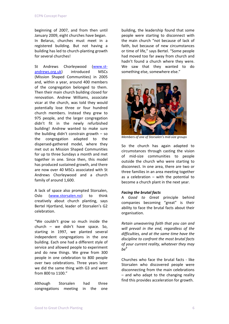beginning of 2007, and from then until January 2009, eight churches have began. In Belarus, churches must meet in a registered building. But not having a building has led to church-planting growth for several churches!

St Andrews Chorleywood (www.standrews.org.uk) introduced MSCs (Mission Shaped Communities) in 2005 and, within a year, around 400 members of the congregation belonged to them. Then their main church building closed for renovation. Andrew Williams, associate vicar at the church, was told they would potentially lose three or four hundred church members. Instead they grew to 975 people, and the larger congregation didn't fit in the newly refurbished building! Andrew wanted to make sure the building didn't constrain growth – so the congregation adapted to the dispersed-gathered model, where they met out as Mission Shaped Communities for up to three Sundays a month and met together in one. Since then, this model has produced sustained growth, and there are now over 40 MSCs associated with St Andrews Chorleywood and a church family of around 1,600.

A lack of space also prompted Storsalen, Oslo (www.storsalen.no) to think creatively about church planting, says Bertel Hjortland, leader of Storsalen's G2 celebration.

"We couldn't grow so much inside the church – we didn't have space. So, starting in 1997, we planted several independent congregations in the one building. Each one had a different style of service and allowed people to experiment and do new things. We grew from 300 people in one celebration to 800 people over two celebrations. Three years later we did the same thing with G3 and went from 800 to 1100."

Although Storsalen had three congregations meeting in the one building, the leadership found that some people were starting to disconnect with the main church "not because of lack of faith, but because of new circumstances or time of life," says Bertel. "Some people had moved too far away from church and hadn't found a church where they were. We saw that they wanted to do something else, somewhere else."



*Members of one of Storsalen's mid-size groups* 

So the church has again adapted to circumstances through casting the vision of mid-size communities to people outside the church who were starting to disconnect. In one area, there are two or three families in an area meeting together as a celebration  $-$  with the potential to become a church plant in the next year.

## *Facing the brutal facts*

A *Good to Great* principle behind companies becoming "great" is their ability to face the brutal facts about their organisation.

*Retain unwavering faith that you can and will prevail in the end, regardless of the difficulties, and at the same time have the discipline to confront the most brutal facts of your current reality, whatever they may be<sup>9</sup>*

Churches who face the brutal facts - like Storsalen who discovered people were disconnecting from the main celebrations – and who adapt to the changing reality find this provides acceleration for growth.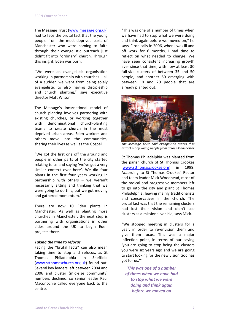The Message Trust (www.message.org.uk) had to face the brutal fact that the young people from the most deprived parts of Manchester who were coming to faith through their evangelistic outreach just didn't fit into "ordinary" church. Through this insight, Eden was born.

"We were an evangelistic organisation working in partnership with churches – all of a sudden we went from being solely evangelistic to also having discipleship and church planting," says executive director Matt Wilson.

The Message's incarnational model of church planting involves partnering with existing churches, or working together with denominational church-planting teams to create church in the most deprived urban areas. Eden workers and others move into the communities, sharing their lives as well as the Gospel.

"We got the first one off the ground and people in other parts of the city started relating to us and saying 'we've got a very similar context over here'. We did four plants in the first four years working in partnership with others – we weren't necessarily sitting and thinking that we were going to do this, but we got moving and gathered momentum."

There are now 10 Eden plants in Manchester. As well as planting more churches in Manchester, the next step is partnering with organisations in other cities around the UK to begin Eden projects there.

#### *Taking the time to refocus*

Facing the "brutal facts" can also mean taking time to stop and refocus, as St Thomas Philadelphia in Sheffield (www.stthomaschurch.org.uk) found out. Several key leaders left between 2004 and 2006 and cluster (mid-size community) numbers declined, so senior leader Paul Maconochie called everyone back to the centre.

"This was one of a number of times when we have had to stop what we were doing and think again before we moved on," he says. "Ironically in 2006, when I was ill and off work for 6 months, I had time to reflect on what needed to change. We have seen consistent increasing growth ever since that time, with now at least 30 full-size clusters of between 35 and 50 people, and another 50 emerging with between 10 and 20 people that are already planted out.



*The Message Trust hold evangelistic events that attract many young people from across Manchester*

St Thomas Philadelphia was planted from the parish church of St Thomas Crookes (www.stthomascrookes.org) in 1999. According to St Thomas Crookes' Rector and team leader Mick Woodhead, most of the radical and progressive members left to go into the city and plant St Thomas Philadelphia, leaving mainly traditionalists and conservatives in the church. The brutal fact was that the remaining clusters had lost their vision and didn't see clusters as a missional vehicle, says Mick.

"We stopped meeting in clusters for a year, in order to re-envision them and give them focus. This was a major inflection point, in terms of our saying 'you are going to stop being the clusters you were six years ago and we are going to start looking for the new vision God has got for us.'"

*This was one of a number of times when we have had to stop what we were doing and think again before we moved on*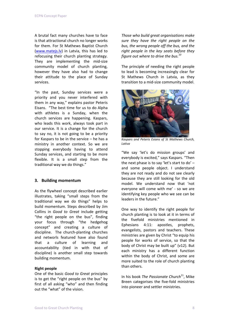A brutal fact many churches have to face is that attractional church no longer works for them. For St Mathews Baptist Church (www.matejs.lv) in Latvia, this has led to refocusing their church planting strategy. They are implementing the mid-size community model of church planting, however they have also had to change their attitude to the place of Sunday services.

"In the past, Sunday services were a priority and you never interfered with them in any way," explains pastor Peteris Eisans."The best time for us to do Alpha with athletes is a Sunday, when the church services are happening. Kaspars, who leads this work, always took part in our service. It is a change for the church to say no, it is not going to be a priority for Kaspars to be in the service – he has a ministry in another context. So we are stopping everybody having to attend Sunday services, and starting to be more flexible. It is a small step from the traditional way we do things."

## **3. Building momentum**

As the flywheel concept described earlier illustrates, taking "small steps from the traditional way we do things" helps to build momentum. Steps described by Jim Collins in *Good to Great* include getting "the right people on the bus", finding your focus through "the hedgehog concept" and creating a culture of discipline. The church-planting churches and networls featured have also found that a culture of learning and accountability (tied in with that of discipline) is another small step towards building momentum.

#### **Right people**

One of the basic *Good to Great* principles is to get the "right people on the bus" by first of all asking "who" and then finding out the "what" of the vision.

*Those who build great organisations make sure they have the right people on the bus, the wrong people off the bus, and the right people in the key seats before they figure out where to drive the bus.<sup>10</sup>*

The principle of needing the right people to lead is becoming increasingly clear for St Mathews Church in Latvia, as they transition to a mid-size community model.



*Kaspars and Peteris Esians of St Mathews Church, Lativa*

"We say 'let's do mission groups' and everybody is excited," says Kaspars. "Then the next phase is to say 'let's start to do' – and some people object. I understand they are not ready and do not see clearly because they are still looking for the old model. We understand now that 'not everyone will come with me' - so we are identifying key people who we see can be leaders in the future."

One way to identify the right people for church planting is to look at it in terms of the fivefold ministries mentioned in Ephesians 4:11: apostles, prophets, evangelists, pastors and teachers. These ministries are given by Christ "to equip his people for works of service, so that the body of Christ may be built up" (v12). But each ministry has a different function within the body of Christ, and some are more suited to the role of church planting than others.

In his book *The Passionate Church*11, Mike Breen categorises the five-fold ministries into pioneer and settler ministries.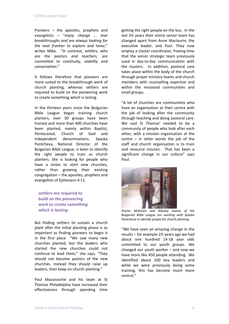Pioneers – the apostles, prophets and evangelists – "*enjoy change ... love breakthroughs and are always looking for the next frontier to explore and tame*," writes Mike. "*In contrast, settlers, who are the pastors and teachers, are committed to continuity, stability and conservation*."

It follows therefore that pioneers are more suited to the breakthrough work of church planting, whereas settlers are required to build on the pioneering work to create something which is lasting.

In the thirteen years since the Bulgarian Bible League began training church planters, over 30 groups have been trained and more than 400 churches have been planted, mainly within Baptist, Pentecostal, Church of God and independent denominations. Spaska Pantcheva, National Director of the Bulgarian Bible League, is keen to identify the right people to train as church planters. She is looking for people who have a vision to start new churches, rather than growing their existing congregation – the apostles, prophets and evangelists of Ephesians 4:11.

*settlers are required to build on the pioneering work to create something which is lasting*

But finding settlers to sustain a church plant after the initial planting phase is as important as finding pioneers to begin it in the first place "We saw many new churches planted, but the leaders who started the new churches could not continue to lead them," she says. "They should not become pastors of the new churches. Instead they should raise up leaders, then keep on church planting."

Paul Maconochie and his team at St Thomas Philadelphia have increased their effectiveness through spending time

getting the right people on the bus. In the last 3½ years their entire senior team has changed apart from Anne Maclaurin, the executive leader, and Paul. They now employ a cluster coordinator, freeing time that the senior strategic team previously used in day-to-day communication with the clusters. In addition, pastoral care takes place within the body of the church through prayer ministry teams and church members with counselling expertise and within the missional communities and small groups.

"A lot of churches are communities who have an organisation at their centre with the job of looking after the community through teaching and doing pastoral care. We said St Thomas' needed to be a community of people who look after each other, with a mission organisation at the centre – in other words the job of the staff and church organisation is to train and resource mission. That has been a significant change in our culture" says Paul.



 *Peicho Muhtraiv and Nikolay Ivanov of the Bulgarian Bible League are working with Spaska Pantcheva to identify people for church planting*

"We have seen an amazing change in the results – for example 2½ years ago we had about one hundred 14-18 year olds committed to our youth groups. We changed our youth worker – and now we have more like 450 people attending. We identified about 100 key leaders and while we were previously doing some training, this has become much more central."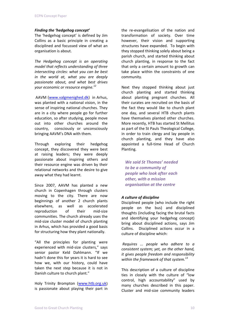## *Finding the 'hedgehog concept'*

The 'hedgehog concept' is defined by Jim Collins as a basic principle in creating a disciplined and focussed view of what an organisation is about.

*The Hedgehog concept is an operating model that reflects understanding of three intersecting circles: what you can be best in the world at, what you are deeply passionate about, and what best drives your economic or resource engine.<sup>12</sup>*

AAVM (www.valgmenighed.dk) in Arhus, was planted with a national vision, in the sense of inspiring national churches. They are in a city where people go for further education, so after studying, people move out into other churches around the country, consciously or unconsciously bringing AAVM's DNA with them.

Through exploring their hedgehog concept, they discovered they were best at raising leaders; they were deeply passionate about inspiring others and their resource engine was driven by their relational networks and the desire to give away what they had learnt.

Since 2007, AAVM has planted a new church in Copenhagen through clusters moving to the city. There are now beginnings of another 2 church plants elsewhere, as well as accelerated reproduction of their mid-size communities. The church already uses the mid-size cluster model of church planting in Arhus, which has provided a good basis for structuring how they plant nationally.

"All the principles for planting were experienced with mid-size clusters," says senior pastor Keld Dahlmann. "If we hadn't done this for years it is hard to see how we, with our history, could have taken the next step because it is not in Danish culture to church plant."

Holy Trinity Brompton (www.htb.org.uk) is passionate about playing their part in the re-evangelisation of the nation and transformation of society. Over time however, their vision and supporting structures have expanded. To begin with they stopped thinking solely about being a parish church, and started thinking about church planting, in response to the fact that only a certain amount to growth can take place within the constraints of one community.

Next they stopped thinking about just church planting and started thinking about planting pregnant churches. All their curates are recruited on the basis of the fact they would like to church plant one day, and several HTB church plants have themselves planted other churches. More recently, HTB has started St Mellitus as part of the St Pauls Theological College, in order to train clergy and lay people in church planting, and they have also appointed a full-time Head of Church Planting.

*We said St Thomas' needed to be a community of people who look after each other, with a mission organisation at the centre*

## *A culture of discipline*

Disciplined people (who include the right people on the bus) and disciplined thoughts (including facing the brutal facts and identifying your hedgehog concept) bring about disciplined actions, says Jim Collins. Disciplined actions occur in a culture of discipline which:

*Requires ... people who adhere to a consistent system; yet, on the other hand, it gives people freedom and responsibility within the framework of that system.<sup>13</sup>*

This description of a culture of discipline ties in closely with the culture of "low control, high accountability" used by many churches described in this paper. Cluster and mid-size community leaders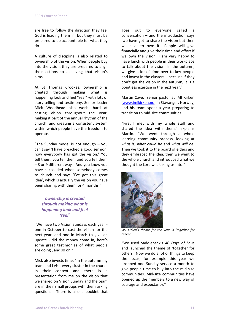are free to follow the direction they feel God is leading them in, but they must be prepared to be accountable for what they do.

A culture of discipline is also related to ownership of the vision. When people buy into the vision, they are prepared to align their actions to achieving that vision's aims.

At St Thomas Crookes, ownership is created through making what is happening look and feel "real" with lots of story-telling and testimony. Senior leader Mick Woodhead also works hard at casting vision throughout the year, making it part of the annual rhythm of the church, and creating a consistent system within which people have the freedom to operate.

"The Sunday model is not enough – you can't say 'I have preached a good sermon, now everybody has got the vision.' You tell them, you tell them and you tell them – 8 or 9 different ways. And you know you have succeeded when somebody comes to church and says 'I've got this great idea', which is actually the vision you have been sharing with them for 4 months."

## *ownership is created through making what is happening look and feel 'real'*

"We have two Vision Sundays each year one in October to cast the vision for the next year, and one in March to give an update - did the money come in, here's some great testimonies of what people are doing , and so on."

Mick also invests time. "In the autumn my team and I visit every cluster in the church in their context and there is a presentation from me on the vision that we shared on Vision Sunday and the team are in their small groups with them asking questions. There is also a booklet that goes out to everyone called a conversation – and the introduction says 'we have got to share the vision but then we have to own it.' People will give financially and give their time and effort if we own the vision. I am very happy to have lunch with people in their workplace to talk about the vision. In the autumn, we give a lot of time over to key people and invest in the clusters – because if they don't get the vision in the autumn, it is a pointless exercise in the next year."

Martin Cave, senior pastor at IMI Kirken (www.imikirken.no) in Stavanger, Norway, and his team spent a year preparing to transition to mid-size communities.

"First I met with my whole staff and shared the idea with them," explains Martin. "We went through a whole learning community process, looking at *what is*, *what could be* and *what will be.* Then we took it to the board of elders and they embraced the idea, then we went to the whole church and introduced what we thought the Lord was taking us into."



 *IMI Kirken's theme for the year is 'together for others'*

"We used Saddleback's *40 Days of Love* and launched the theme of 'together for others'. Now we do a lot of things to keep the focus, for example this year we dropped one Sunday service a month to give people time to buy into the mid-size communities. Mid-size communities have opened up the members to a new way of courage and expectancy."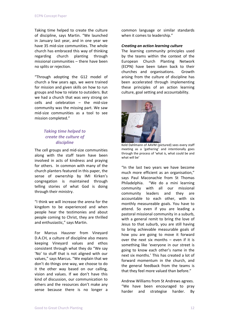Taking time helped to create the culture of discipline, says Martin. "We launched in January last year, and in one year we have 35 mid-size communities. The whole church has embraced this way of thinking regarding church planting through missional communities – there have been no splits or rejection.

"Through adopting the G12 model of church a few years ago, we were trained for mission and given skills on how to run groups and how to relate to outsiders. But we had a church that was very strong on cells and celebration  $-$  the mid-size community was the missing part. We saw mid-size communities as a tool to see mission completed."

## *Taking time helped to create the culture of discipline*

The cell groups and mid-size communities along with the staff team have been involved in acts of kindness and praying for others. In common with many of the church planters featured in this paper, the sense of ownership by IMI Kirken's congregation is maintained through telling stories of what God is doing through their ministry.

"I think we will increase the arena for the kingdom to be experienced and when people hear the testimonies and about people coming to Christ, they are thrilled and enthusiastic," says Martin.

For Marcus Hausner from Vineyard D.A.CH, a culture of discipline also means keeping Vineyard values and ethos consistent through what they do "We say 'No' to stuff that is not aligned with our values," says Marcus. "We explain that we don't do things one way, we choose to do it the other way based on our calling, vision and values. If we don't have this kind of discussion, our communication to others and the resources don't make any sense because there is no longer a

common language or similar standards when it comes to leadership."

## *Creating an action learning culture*

The learning community principles used by the teams within the context of the European Church Planting Network (ECPN) have been taken back to their churches and organisations. Growth arising from the culture of discipline has been accelerated through implementing these principles of an action learning culture, goal setting and accountability.



Keld Dahlmann of AAVM (pictured) sees every staff meeting as a 'gathering' and intentionally goes through the process of 'what is, what could be and what will be'

"In the last two years we have become much more efficient as an organisation," says Paul Maconachie from St Thomas Philadelphia. "We do a mini learning community with all our missional community leaders and they are accountable to each other, with six monthly measureable goals. You have to attend. So even if you are leading a pastoral missional community in a suburb, with a general remit to bring the love of Jesus to that suburb, you are still having to bring achievable measurable goals of how you are going to move it forward over the next six months  $-$  even if it is something like 'everyone in our street is going to know each other's name in the next six months.' This has created a lot of forward momentum in the church, and the general feedback from the teams is that they feel more valued than before."

Andrew Williams from St Andrews agrees. "We have been encouraged to pray harder and strategise harder. By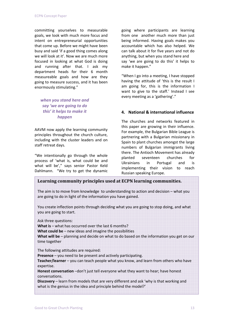committing yourselves to measurable goals, we look with much more focus and intent on entrepreneurial opportunities that come up. Before we might have been busy and said 'if a good thing comes along we will look at it'. Now we are much more focused in looking at what God is doing and running after that. I ask my department heads for their 6 month measureable goals and how are they going to measure success, and it has been enormously stimulating."

*when you stand here and say 'we are going to do this' it helps to make it happen*

AAVM now apply the learning community principles throughout the church culture, including with the cluster leaders and on staff retreat days.

"We intentionally go through the whole process of 'what is, what could be and what will be'," says senior Pastor Keld Dahlmann. "We try to get the dynamic going where participants are learning from one another much more than just being informed. Having goals makes you accountable which has also helped. We can talk about it for five years and not do anything, but when you stand here and say 'we are going to do this' it helps to make it happen."

"When I go into a meeting, I have stopped having the attitude of 'this is the result I am going for, this is the information I want to give to the staff.' Instead I see every meeting as a 'gathering'."

## **4. National & international influence**

The churches and networks featured in this paper are growing in their influence. For example, the Bulgarian Bible League is partnering with a Bulgarian missionary in Spain to plant churches amongst the large numbers of Bulgarian immigrants living there. The Antioch Movement has already planted seventeen churches for Ukrainians in Portugal and is implementing their vision to reach Russian speaking Europe.

## **Learning community principles used at ECPN learning communities.**

The aim is to move from knowledge to understanding to action and decision – what you are going to do in light of the information you have gained.

You create inflection points through deciding what you are going to stop doing, and what you are going to start.

Ask three questions:

**What is** – what has occurred over the last 6 months?

**What could be** – new ideas and imagine the possibilities

**What will be** – planning and decide on what to do based on the information you get on our time together

The following attitudes are required:

**Presence** – you need to be present and actively participating.

**Teacher/learner** – you can teach people what you know, and learn from others who have expertise.

**Honest conversation** –don't just tell everyone what they want to hear; have honest conversations.

**Discovery** – learn from models that are very different and ask 'why is that working and what is the genius in the idea and principle behind the model?'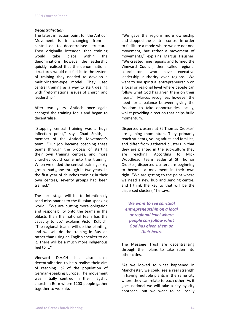## *Decentralisation*

The latest inflection point for the Antioch Movement is in changing from a centralised to decentralised structure. They originally intended that training would take place within the denominations, however the leadership quickly realised that the denominational structures would not facilitate the system of training they needed to develop a multiplication-type model. They used central training as a way to start dealing with "reformational issues of church and leadership."

After two years, Antioch once again changed the training focus and began to decentralise.

"Stopping central training was a huge inflection point," says Chad Smith, a member of the Antioch Movement's team. "Our job became coaching these teams through the process of starting their own training centres, and more churches could come into the training. When we ended the central training, sixty groups had gone through in two years. In the first year of churches training in their own centres, seventy groups had been trained."

The next stage will be to intentionally send missionaries to the Russian-speaking world. "We are putting more obligation and responsibility onto the teams in the oblasts than the national team has the capacity to do," explains Victor Kulbich. "The regional teams will do the planting, and we will do the training in Russian rather than using an English speaker to do it. There will be a much more indigenous feel to it."

Vineyard D.A.CH has also used decentralisation to help realise their aim of reaching 1% of the population of German-speaking Europe. The movement was initially centred in their flagship church in Bern where 1200 people gather together to worship.

"We gave the regions more ownership and stopped the central control in order to facilitate a mode where we are not one movement, but rather a movement of movements," explains Marcus Hausner. "We created nine regions and formed the Vineyard Council, then called regional coordinators who have executive leadership authority over regions. We want to see spiritual entrepreneurship on a local or regional level where people can follow what God has given them on their heart." Marcus recognises however the need for a balance between giving the freedom to take opportunities locally, whilst providing direction that helps build momentum.

Dispersed clusters at St Thomas Crookes' are gaining momentum. They primarily reach students, young adults and families, and differ from gathered clusters in that they are planted in the sub-culture they are reaching. According to Mick Woodhead, team leader at St Thomas Crookes, dispersed clusters are beginning to become a movement in their own right. "We are getting to the point where we need a new hub and sending centre, and I think the key to that will be the dispersed clusters," he says.

*We want to see spiritual entrepreneurship on a local or regional level where people can follow what God has given them on their heart*

The Message Trust are decentralising through their plans to take Eden into other cities.

"As we looked to what happened in Manchester, we could see a real strength in having multiple plants in the same city where they can relate to each other. As it goes national we will take a city by city approach, but we want to be locally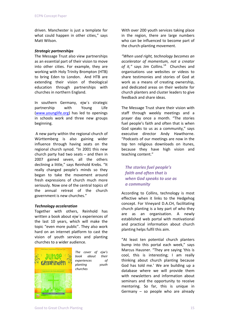driven. Manchester is just a template for what could happen in other cities," says Matt Wilson.

#### *Strategic partnerships*

The Message Trust also view partnerships as an essential part of their vision to move into other cities. For example, they are working with Holy Trinity Brompton (HTB) to bring Eden to London. And HTB are extending their vision of theological education through partnerships with churches in northern England.

In southern Germany, ejw´s strategic partnership with Young Life (www.younglife.org) has led to openings in schools work and three new groups beginning.

A new party within the regional church of Württemberg is also gaining wider influence through having seats on the regional church synod. "In 2001 this new church party had two seats – and then in 2007 gained seven, all the others declining a little," says Reinhold Krebs. "It really changed people's minds so they began to take the movement around fresh expressions of church much more seriously. Now one of the central topics of the annual retreat of the church government is new churches."

## *Technology acceleration*

Together with others, Reinhold has written a book about ejw´s experiences of the last 10 years, which will make the topic "even more public". They also work hard on an internet platform to cast the vision of youth services and planting churches to a wider audience.



*The cover of ejw's book about their experiences of planting youth churches*

With over 200 youth services taking place in the region, there are large numbers who can be influenced to become part of the church-planting movement.

*"When used right, technology becomes an accelerator of momentum, not a creator* of *it.*" says Jim Collins.<sup>14</sup> Churches and organisations use websites or videos to share testimonies and stories of God at work as a means of creating ownership, and dedicated areas on their website for church planters and cluster leaders to give feedback and share ideas.

The Message Trust share their vision with staff through weekly meetings and a prayer day once a month. "The stories fuel people's faith and often that is when God speaks to us as a community," says executive director Andy Hawthorne. "Podcasts of our meetings are now in the top ten religious downloads on itunes, because they have high vision and teaching content."

*The stories fuel people's faith and often that is when God speaks to use as a community*

According to Collins, technology is most effective when it links to the Hedgehog concept. For Vineyard D.A.CH, facilitating church planting is a key part of who they are as an organisation. A newly established web portal with motivational and practical information about church planting helps fulfil this aim.

"At least ten potential church planters bump into this portal each week," says Marcus Hausner. "They are saying 'this is cool, this is interesting; I am really thinking about church planting because God has told me.' We are building up a database where we will provide them with newsletters and information about seminars and the opportunity to receive mentoring. So far, this is unique in Germany – so people who are already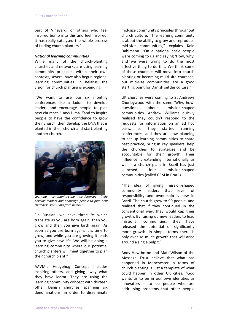part of Vineyard, or others who feel inspired bump into this and feel inspired. It has really catalysed the whole process of finding church planters."

#### *National learning communities*

While many of the church-planting churches and networks are using learning community principles within their own contexts, several have also begun regional learning communities. In Belarus, the vision for church planting is expanding.

"We want to use our six monthly conferences like a ladder to develop leaders and encourage people to plan new churches," says Dima, "and to inspire people to have the confidence to grow their church, then develop the DNA that is planted in their church and start planting another church.



*Learning communityͲstyle conferences 'help develop leaders and enourage people to plan new churches', says Dima from Belarus*

"In Russian, we have three *Rs* which translate as you are born again, then you grow and then you give birth again. As soon as you are born again, it is time to grow, and while you are growing it leads you to give new life. We will be doing a learning community where our potential church planters will meet together to plan their church plant."

AAVM's Hedgehog Concept includes inspiring others, and giving away what they have learnt. They are using the learning community concept with thirteen other Danish churches spanning six denominations, in order to disseminate mid-size community principles throughout church culture. "The learning community is about the ability to grow and reproduce mid-size communities," explains Keld Dahlmann. "On a national scale people were coming to us and saying 'How, why' and we were trying to do the most effective thing to do this. We think some of these churches will move into church planting or becoming multi-site churches, but mid-size communities are a good starting point for Danish settler culture."

UK churches were coming to St Andrews Chorleywood with the same 'Why, how' questions about mission-shaped communities. Andrew Williams quickly realised they couldn't respond to the requests for information on an ad hoc basis, so they started running conferences, and they are now planning to set up learning communities to share best practice, bring in key speakers, help the churches to strategise and be accountable for their growth. Their influence is extending internationally as well - a church plant in Brazil has just launched four mission-shaped communities (called CEM in Brazil)

"The idea of giving mission-shaped community leaders that level of responsibility and ownership is new in Brazil. The church grew to 90 people, and realised that if they continued in the conventional way, they would cap their growth. By raising up new leaders to lead missional communities, they have released the potential of significantly more growth. In simple terms there is only ever so much growth that will arise around a single pulpit.'

Andy Hawthorne and Matt Wilson of the Message Trust believe that what has happened in Manchester in terms of church planting is just a template of what could happen in other UK cities. "God wants us to be in our own identities as innovators – to be people who are addressing problems that other people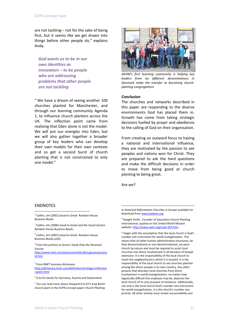are not tackling – not for the sake of being first, but it seems like we get drawn into things before other people do," explains Andy.

*God wants us to be in our own identities as innovators – to be people who are addressing problems that other people are not tackling*

" We have a dream of seeing another 100 churches planted for Manchester, and through our learning community Agenda 1, to influence church planters across the UK. The inflection point came from realising that Eden alone is not the model. We will put our energies into Eden, but we will also gather together a broader group of key leaders who can develop their own models for their own contexts and so get a second burst of church planting that is not constrained to only one model."



*AAVM's first learning community is helping key leaders from six different denominations in Denmark make the transfer to becoming churchplanting congregations*

#### *Conclusion*

The churches and networks described in this paper are responding to the diverse environments God has placed them in. Growth has come from taking strategic decisions fuelled by prayer and obedience to the calling of God on their organisation.

From creating an outward focus to having a national and international influence, they are motivated by the passion to see peoples and nations won for Christ. They are prepared to ask the hard questions and make the difficult decisions in order to move from being good at church planting to being great.

Are we?

1

## ENDNOTES

 $\overline{a}$ 

<sup>1</sup> Collins, Jim (2001) *Good to Great* Random House Business Books

<sup>2</sup> Collins, Jim (2006) *Good to Great and the Social Sectors* Random House Business Books

<sup>3</sup> Collins, Jim (2001) *Good to Great* Random House Business Books p165

<sup>4</sup> From the preface to Grove's book *Only the Paranoid Survive*

http://www.intel.com/pressroom/kits/bios/grove/parano id.htm

<sup>5</sup> From BNET business dictionary

http://dictionary.bnet.com/definition/strategic+inflection +point.html

<sup>6</sup> D.A.CH stands for Germany, Austria and Switzerland

<sup>7</sup> You can read more about Vineyard D.A.CH's East Berlin church plant in the ECPN concept paper *Church Planting*

*in Historical Reformation Churches in Europe* available for download from www.leadnet.org

<sup>8</sup> Dwight Smith,. Founder of Saturation Church Planting International, quoted on the United World Mission website: http://www.uwm.org/mski-SCP.htm

"I begin with the assumption that the local church is God's number one instrument for world evangelization. This means that all other human administrative structures, be they denominational or non-denominational, are parachurch by nature and must be required to assist local churches into direct involvement in all domains of Gospel extension. It is the responsibility of the local church to reach the neighborhood in which it is located. It is the responsibility of the local church to see churches planted among the ethnic people in its own country. Any other process that alienates local churches from direct involvement in world evangelization, no matter how logistically difficult this emphasis may be, deprives the local church of its very purpose of existence. Additionally, not only is the local church God's number one instrument for world evangelization, it is the church's number one priority. All other activity must render accountability and